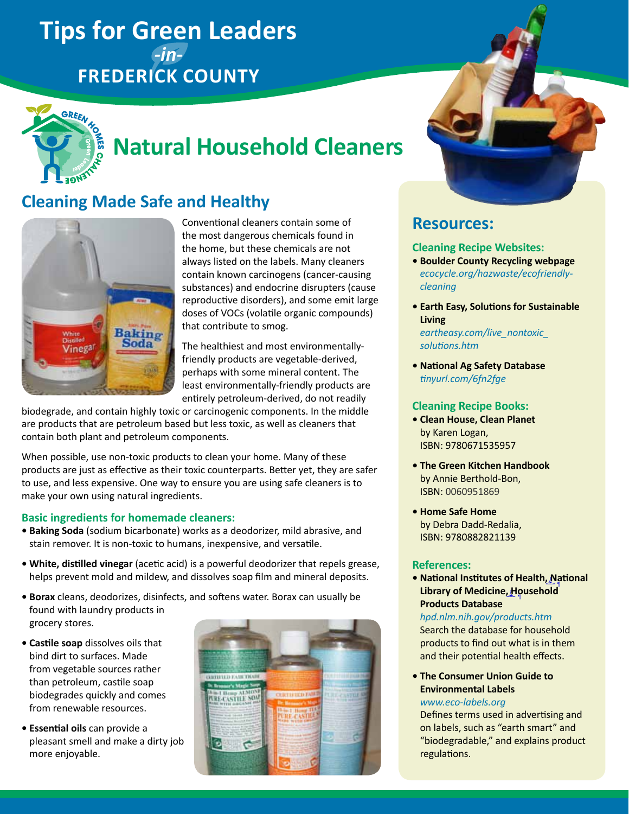## **Tips for Green Leaders**  *-in-***Frederick County**



# **Natural Household Cleaners**

## **Cleaning Made Safe and Healthy**



Conventional cleaners contain some of the most dangerous chemicals found in the home, but these chemicals are not always listed on the labels. Many cleaners contain known carcinogens (cancer-causing substances) and endocrine disrupters (cause reproductive disorders), and some emit large doses of VOCs (volatile organic compounds) that contribute to smog.

The healthiest and most environmentallyfriendly products are vegetable-derived, perhaps with some mineral content. The least environmentally-friendly products are entirely petroleum-derived, do not readily

biodegrade, and contain highly toxic or carcinogenic components. In the middle are products that are petroleum based but less toxic, as well as cleaners that contain both plant and petroleum components.

When possible, use non-toxic products to clean your home. Many of these products are just as effective as their toxic counterparts. Better yet, they are safer to use, and less expensive. One way to ensure you are using safe cleaners is to make your own using natural ingredients.

#### **Basic ingredients for homemade cleaners:**

- **Baking Soda** (sodium bicarbonate) works as a deodorizer, mild abrasive, and stain remover. It is non-toxic to humans, inexpensive, and versatile.
- **White, distilled vinegar** (acetic acid) is a powerful deodorizer that repels grease, helps prevent mold and mildew, and dissolves soap film and mineral deposits.
- **Borax** cleans, deodorizes, disinfects, and softens water. Borax can usually be found with laundry products in grocery stores.
- **Castile soap** dissolves oils that bind dirt to surfaces. Made from vegetable sources rather than petroleum, castile soap biodegrades quickly and comes from renewable resources.
- **Essential oils** can provide a pleasant smell and make a dirty job more enjoyable.

| <b>CERTIFIED FAIR THADE</b><br><b>Bronner's Magic Sorp</b>             |                                                                      |  |
|------------------------------------------------------------------------|----------------------------------------------------------------------|--|
| <b>The American State</b><br><b>William and Note</b><br><b>COLLANS</b> | <b>SERCEUTICO FAMILIS</b><br><b><i><u><u>Internation</u></u></i></b> |  |
|                                                                        |                                                                      |  |



### **Resources:**

#### **Cleaning Recipe Websites:**

- **Boulder County Recycling webpage** *[ecocycle.org/hazwaste/ecofriendly](http://ecocycle.org/hazwaste/ecofriendly-cleaning)[cleaning](http://ecocycle.org/hazwaste/ecofriendly-cleaning)*
- **Earth Easy, Solutions for Sustainable Living** *[eartheasy.com/live\\_nontoxic\\_](http://eartheasy.com/live_nontoxic_solutions.htm) [solutions.htm](http://eartheasy.com/live_nontoxic_solutions.htm)*
- **National Ag Safety Database** *[tinyurl.com/6fn2fge](http://www.nasdonline.org/document/1449/d001243/reducing-hazardous-products-in-thehome.html)*

#### **Cleaning Recipe Books:**

- **Clean House, Clean Planet** by Karen Logan, ISBN: 9780671535957
- **The Green Kitchen Handbook** by Annie Berthold-Bon, ISBN: 0060951869
- **Home Safe Home** by Debra Dadd-Redalia, ISBN: 9780882821139

#### **References:**

**• National Institutes of Health, National Library of Medicine, Household**  ¶ **Products Database** ¶

#### *[hpd.nlm.nih.gov/products.htm](http://hpd.nlm.nih.gov/products.htm)*

Search the database for household products to find out what is in them and their potential health effects.

**• The Consumer Union Guide to Environmental Labels**

#### *[www.eco-labels.org](http://www.eco-labels.org)*

Defines terms used in advertising and on labels, such as "earth smart" and "biodegradable," and explains product regulations.